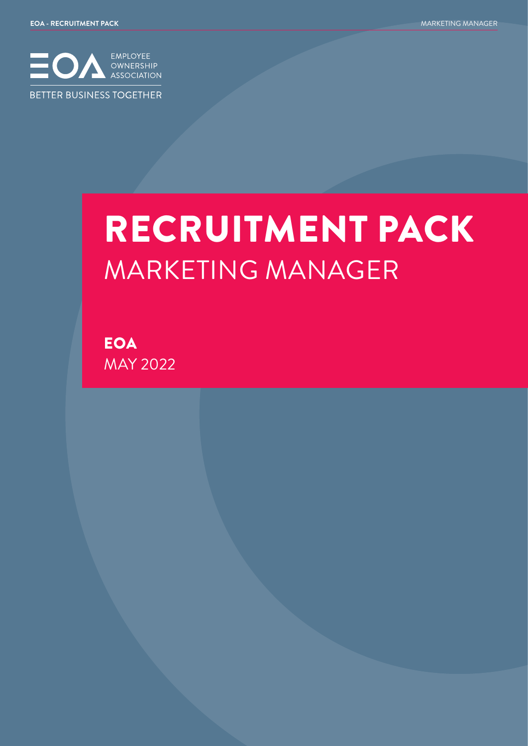

# RECRUITMENT PACK MARKETING MANAGER

**EOA** MAY 2022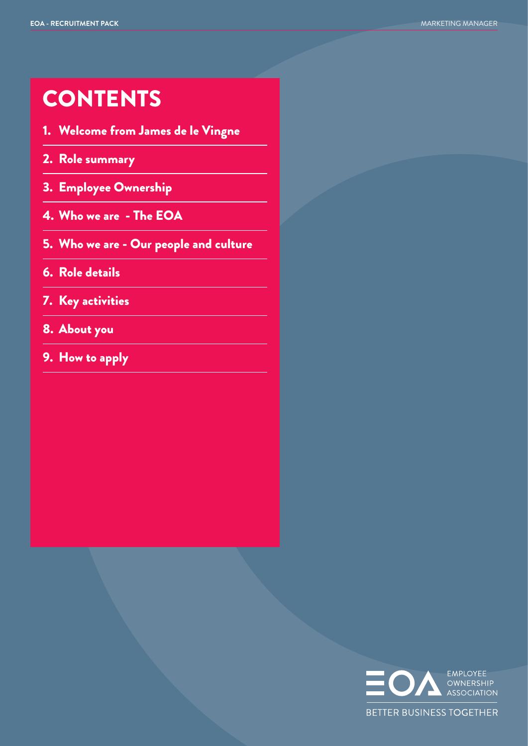### **CONTENTS**

1. Welcome from James de le Vingne

2. Role summary

- 3. Employee Ownership
- 4. Who we are The EOA
- 5. Who we are Our people and culture
- 6. Role details
- 7. Key activities
- 8. About you
- 9. How to apply

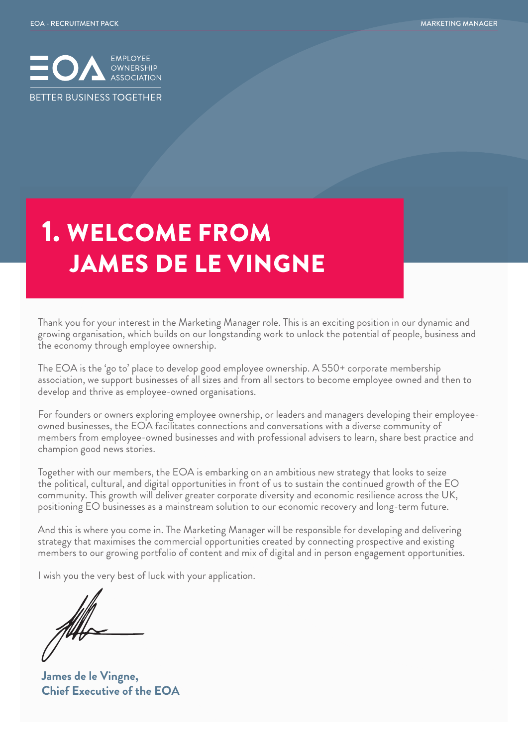**EMPLOYEE** OWNERSHIP **ASSOCIATION BETTER BUSINESS TOGETHER** 

## 1. WELCOME FROM JAMES DE LE VINGNE

Thank you for your interest in the Marketing Manager role. This is an exciting position in our dynamic and growing organisation, which builds on our longstanding work to unlock the potential of people, business and the economy through employee ownership.

The EOA is the 'go to' place to develop good employee ownership. A 550+ corporate membership association, we support businesses of all sizes and from all sectors to become employee owned and then to develop and thrive as employee-owned organisations.

For founders or owners exploring employee ownership, or leaders and managers developing their employeeowned businesses, the EOA facilitates connections and conversations with a diverse community of members from employee-owned businesses and with professional advisers to learn, share best practice and champion good news stories.

Together with our members, the EOA is embarking on an ambitious new strategy that looks to seize the political, cultural, and digital opportunities in front of us to sustain the continued growth of the EO community. This growth will deliver greater corporate diversity and economic resilience across the UK, positioning EO businesses as a mainstream solution to our economic recovery and long-term future.

And this is where you come in. The Marketing Manager will be responsible for developing and delivering strategy that maximises the commercial opportunities created by connecting prospective and existing members to our growing portfolio of content and mix of digital and in person engagement opportunities.

I wish you the very best of luck with your application.

**James de le Vingne, Chief Executive of the EOA**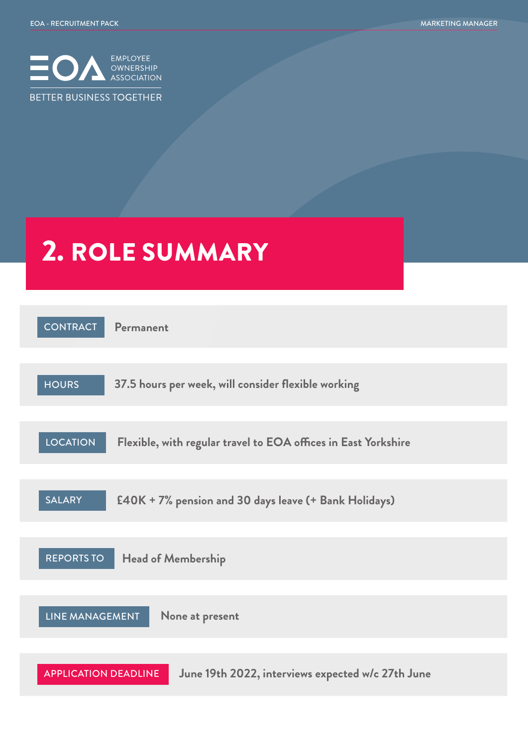

## 2. ROLE SUMMARY

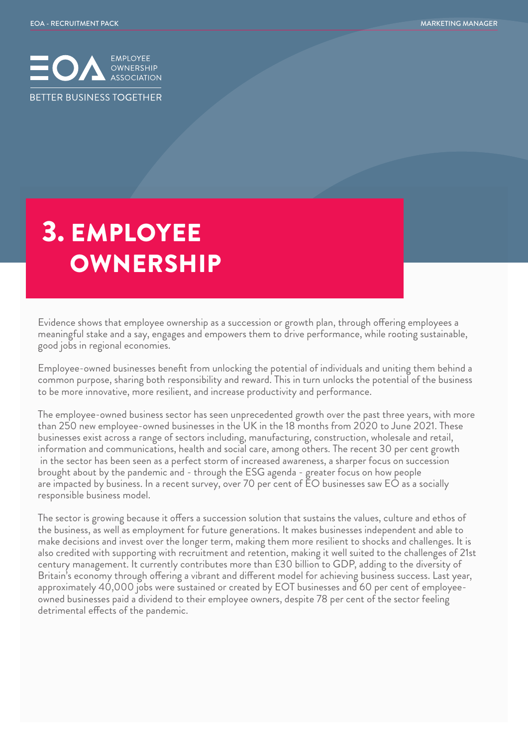**EMPLOYEE** OWNERSHIP **ASSOCIATION BETTER BUSINESS TOGETHER** 

## 3. EMPLOYEE **OWNERSHIP**

Evidence shows that employee ownership as a succession or growth plan, through offering employees a meaningful stake and a say, engages and empowers them to drive performance, while rooting sustainable, good jobs in regional economies.

Employee-owned businesses benefit from unlocking the potential of individuals and uniting them behind a common purpose, sharing both responsibility and reward. This in turn unlocks the potential of the business to be more innovative, more resilient, and increase productivity and performance.

The employee-owned business sector has seen unprecedented growth over the past three years, with more than 250 new employee-owned businesses in the UK in the 18 months from 2020 to June 2021. These businesses exist across a range of sectors including, manufacturing, construction, wholesale and retail, information and communications, health and social care, among others. The recent 30 per cent growth in the sector has been seen as a perfect storm of increased awareness, a sharper focus on succession brought about by the pandemic and - through the ESG agenda - greater focus on how people are impacted by business. In a recent survey, over 70 per cent of EO businesses saw EO as a socially responsible business model.

The sector is growing because it offers a succession solution that sustains the values, culture and ethos of the business, as well as employment for future generations. It makes businesses independent and able to make decisions and invest over the longer term, making them more resilient to shocks and challenges. It is also credited with supporting with recruitment and retention, making it well suited to the challenges of 21st century management. It currently contributes more than £30 billion to GDP, adding to the diversity of Britain's economy through offering a vibrant and different model for achieving business success. Last year, approximately 40,000 jobs were sustained or created by EOT businesses and 60 per cent of employeeowned businesses paid a dividend to their employee owners, despite 78 per cent of the sector feeling detrimental effects of the pandemic.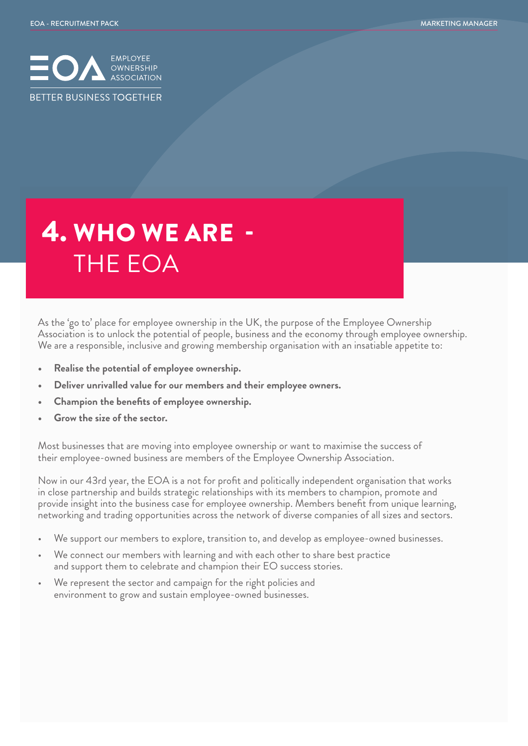

## 4. WHO WE ARE - THE EOA

As the 'go to' place for employee ownership in the UK, the purpose of the Employee Ownership Association is to unlock the potential of people, business and the economy through employee ownership. We are a responsible, inclusive and growing membership organisation with an insatiable appetite to:

- **• Realise the potential of employee ownership.**
- **• Deliver unrivalled value for our members and their employee owners.**
- **• Champion the benefits of employee ownership.**
- **• Grow the size of the sector.**

Most businesses that are moving into employee ownership or want to maximise the success of their employee-owned business are members of the Employee Ownership Association.

Now in our 43rd year, the EOA is a not for profit and politically independent organisation that works in close partnership and builds strategic relationships with its members to champion, promote and provide insight into the business case for employee ownership. Members benefit from unique learning, networking and trading opportunities across the network of diverse companies of all sizes and sectors.

- We support our members to explore, transition to, and develop as employee-owned businesses.
- We connect our members with learning and with each other to share best practice and support them to celebrate and champion their EO success stories.
- We represent the sector and campaign for the right policies and environment to grow and sustain employee-owned businesses.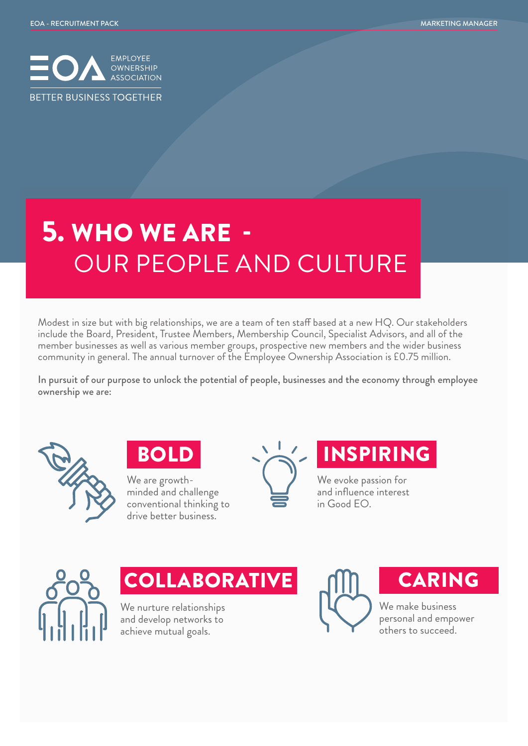

## 5. WHO WE ARE - OUR PEOPLE AND CULTURE

Modest in size but with big relationships, we are a team of ten staff based at a new HQ. Our stakeholders include the Board, President, Trustee Members, Membership Council, Specialist Advisors, and all of the member businesses as well as various member groups, prospective new members and the wider business community in general. The annual turnover of the Employee Ownership Association is £0.75 million.

In pursuit of our purpose to unlock the potential of people, businesses and the economy through employee ownership we are:



BOLD

We are growthminded and challenge conventional thinking to drive better business.



### INSPIRING

We evoke passion for and influence interest in Good EO.



## **COLLABORATIVE**

We nurture relationships and develop networks to achieve mutual goals.



### CARING

We make business personal and empower others to succeed.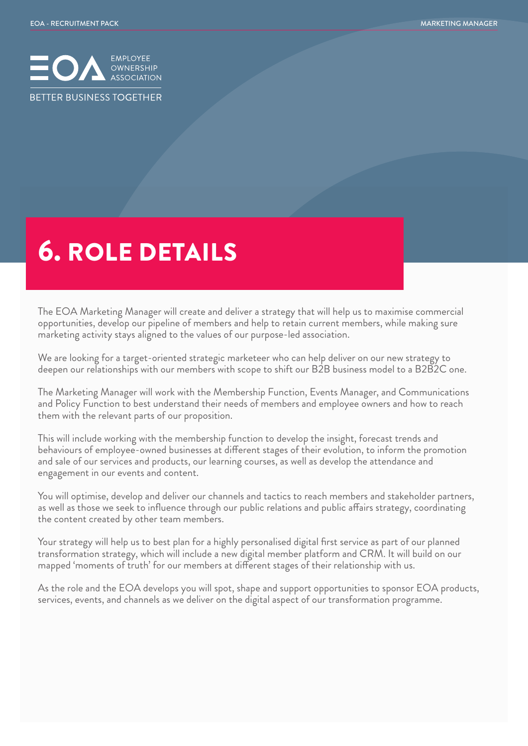

## 6. ROLE DETAILS

The EOA Marketing Manager will create and deliver a strategy that will help us to maximise commercial opportunities, develop our pipeline of members and help to retain current members, while making sure marketing activity stays aligned to the values of our purpose-led association.

We are looking for a target-oriented strategic marketeer who can help deliver on our new strategy to deepen our relationships with our members with scope to shift our B2B business model to a B2B2C one.

The Marketing Manager will work with the Membership Function, Events Manager, and Communications and Policy Function to best understand their needs of members and employee owners and how to reach them with the relevant parts of our proposition.

This will include working with the membership function to develop the insight, forecast trends and behaviours of employee-owned businesses at different stages of their evolution, to inform the promotion and sale of our services and products, our learning courses, as well as develop the attendance and engagement in our events and content.

You will optimise, develop and deliver our channels and tactics to reach members and stakeholder partners, as well as those we seek to influence through our public relations and public affairs strategy, coordinating the content created by other team members.

Your strategy will help us to best plan for a highly personalised digital first service as part of our planned transformation strategy, which will include a new digital member platform and CRM. It will build on our mapped 'moments of truth' for our members at different stages of their relationship with us.

As the role and the EOA develops you will spot, shape and support opportunities to sponsor EOA products, services, events, and channels as we deliver on the digital aspect of our transformation programme.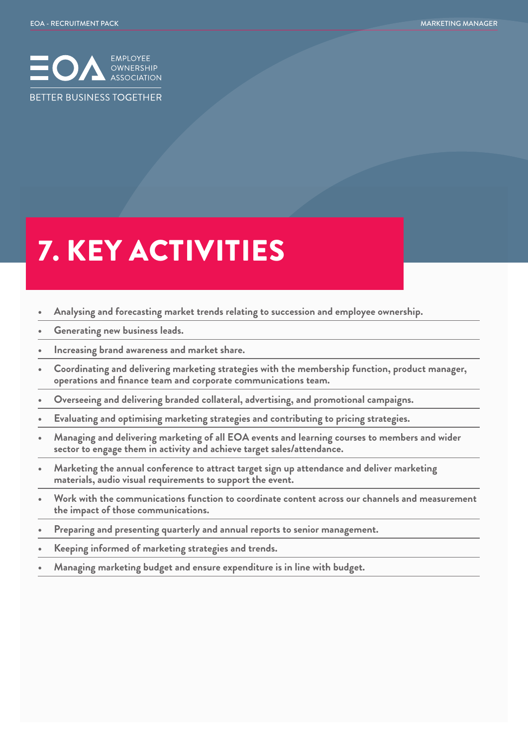

# 7. KEY ACTIVITIES

- **• Analysing and forecasting market trends relating to succession and employee ownership.**
- **• Generating new business leads.**
- **• Increasing brand awareness and market share.**
- **• Coordinating and delivering marketing strategies with the membership function, product manager, operations and finance team and corporate communications team.**
- **• Overseeing and delivering branded collateral, advertising, and promotional campaigns.**
- **• Evaluating and optimising marketing strategies and contributing to pricing strategies.**
- **• Managing and delivering marketing of all EOA events and learning courses to members and wider sector to engage them in activity and achieve target sales/attendance.**
- **• Marketing the annual conference to attract target sign up attendance and deliver marketing materials, audio visual requirements to support the event.**
- **• Work with the communications function to coordinate content across our channels and measurement the impact of those communications.**
- **• Preparing and presenting quarterly and annual reports to senior management.**
- **• Keeping informed of marketing strategies and trends.**
- **• Managing marketing budget and ensure expenditure is in line with budget.**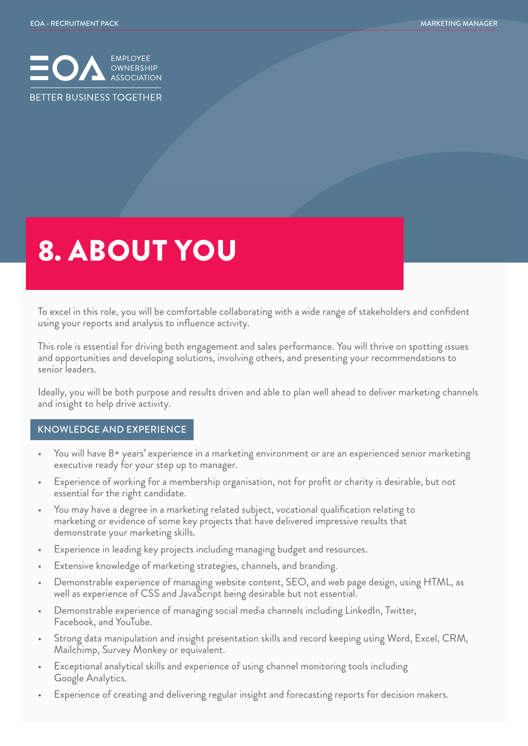

## 8. ABOUT YOU

To excel in this role, you will be comfortable collaborating with a wide range of stakeholders and confident using your reports and analysis to influence activity.

This role is essential for driving both engagement and sales performance. You will thrive on spotting issues and opportunities and developing solutions, involving others, and presenting your recommendations to senior leaders.

Ideally, you will be both purpose and results driven and able to plan well ahead to deliver marketing channels and insight to help drive activity.

#### KNOWLEDGE AND EXPERIENCE

- You will have 8+ years' experience in a marketing environment or are an experienced senior marketing executive ready for your step up to manager.
- Experience of working for a membership organisation, not for profit or charity is desirable, but not essential for the right candidate.
- You may have a degree in a marketing related subject, vocational qualification relating to marketing or evidence of some key projects that have delivered impressive results that demonstrate your marketing skills.
- Experience in leading key projects including managing budget and resources.
- Extensive knowledge of marketing strategies, channels, and branding.
- Demonstrable experience of managing website content, SEO, and web page design, using HTML, as well as experience of CSS and JavaScript being desirable but not essential.
- Demonstrable experience of managing social media channels including LinkedIn, Twitter, Facebook, and YouTube.
- Strong data manipulation and insight presentation skills and record keeping using Word, Excel, CRM, Mailchimp, Survey Monkey or equivalent.
- Exceptional analytical skills and experience of using channel monitoring tools including Google Analytics.
- Experience of creating and delivering regular insight and forecasting reports for decision makers.